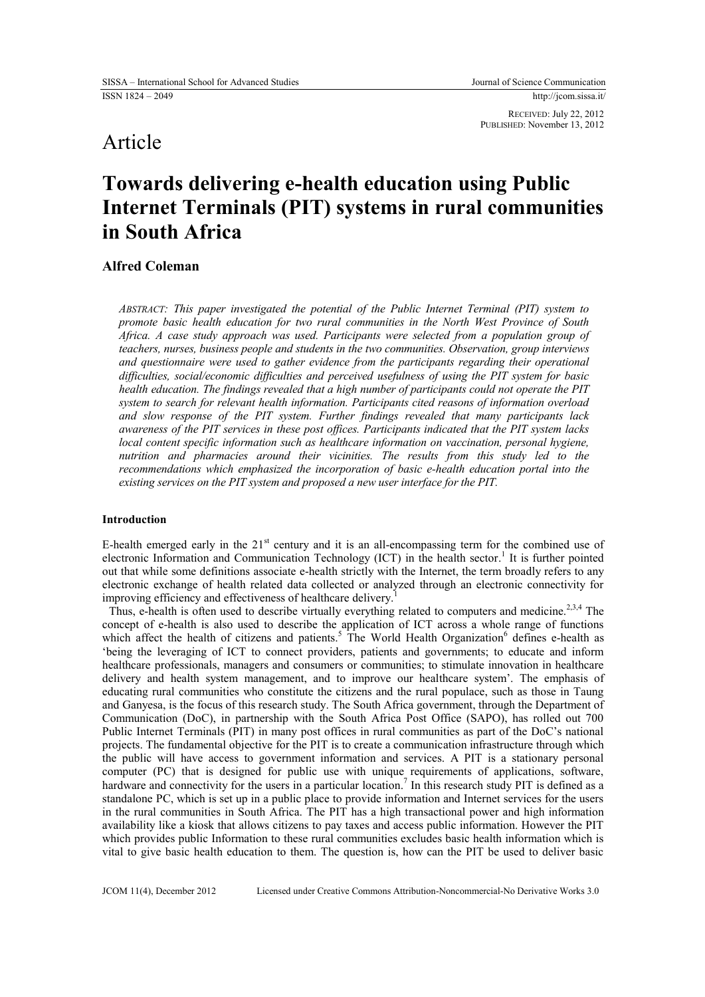RECEIVED: July 22, 2012 PUBLISHED: November 13, 2012

## Article

# **Towards delivering e-health education using Public Internet Terminals (PIT) systems in rural communities in South Africa**

## **Alfred Coleman**

*ABSTRACT: This paper investigated the potential of the Public Internet Terminal (PIT) system to promote basic health education for two rural communities in the North West Province of South Africa. A case study approach was used. Participants were selected from a population group of teachers, nurses, business people and students in the two communities. Observation, group interviews and questionnaire were used to gather evidence from the participants regarding their operational difficulties, social/economic difficulties and perceived usefulness of using the PIT system for basic health education. The findings revealed that a high number of participants could not operate the PIT system to search for relevant health information. Participants cited reasons of information overload and slow response of the PIT system. Further findings revealed that many participants lack awareness of the PIT services in these post offices. Participants indicated that the PIT system lacks local content specific information such as healthcare information on vaccination, personal hygiene, nutrition and pharmacies around their vicinities. The results from this study led to the recommendations which emphasized the incorporation of basic e-health education portal into the existing services on the PIT system and proposed a new user interface for the PIT.*

## **Introduction**

E-health emerged early in the  $21<sup>st</sup>$  century and it is an all-encompassing term for the combined use of electronic Information and Communication Technology (ICT) in the health sector.<sup>1</sup> It is further pointed out that while some definitions associate e-health strictly with the Internet, the term broadly refers to any electronic exchange of health related data collected or analyzed through an electronic connectivity for improving efficiency and effectiveness of healthcare delivery.

Thus, e-health is often used to describe virtually everything related to computers and medicine.<sup>2,3,4</sup> The concept of e-health is also used to describe the application of ICT across a whole range of functions which affect the health of citizens and patients.<sup>5</sup> The World Health Organization<sup>6</sup> defines e-health as 'being the leveraging of ICT to connect providers, patients and governments; to educate and inform healthcare professionals, managers and consumers or communities; to stimulate innovation in healthcare delivery and health system management, and to improve our healthcare system'. The emphasis of educating rural communities who constitute the citizens and the rural populace, such as those in Taung and Ganyesa, is the focus of this research study. The South Africa government, through the Department of Communication (DoC), in partnership with the South Africa Post Office (SAPO), has rolled out 700 Public Internet Terminals (PIT) in many post offices in rural communities as part of the DoC's national projects. The fundamental objective for the PIT is to create a communication infrastructure through which the public will have access to government information and services. A PIT is a stationary personal computer (PC) that is designed for public use with unique requirements of applications, software, hardware and connectivity for the users in a particular location.<sup>7</sup> In this research study PIT is defined as a standalone PC, which is set up in a public place to provide information and Internet services for the users in the rural communities in South Africa. The PIT has a high transactional power and high information availability like a kiosk that allows citizens to pay taxes and access public information. However the PIT which provides public Information to these rural communities excludes basic health information which is vital to give basic health education to them. The question is, how can the PIT be used to deliver basic

JCOM 11(4), December 2012 Licensed under Creative Commons Attribution-Noncommercial-No Derivative Works 3.0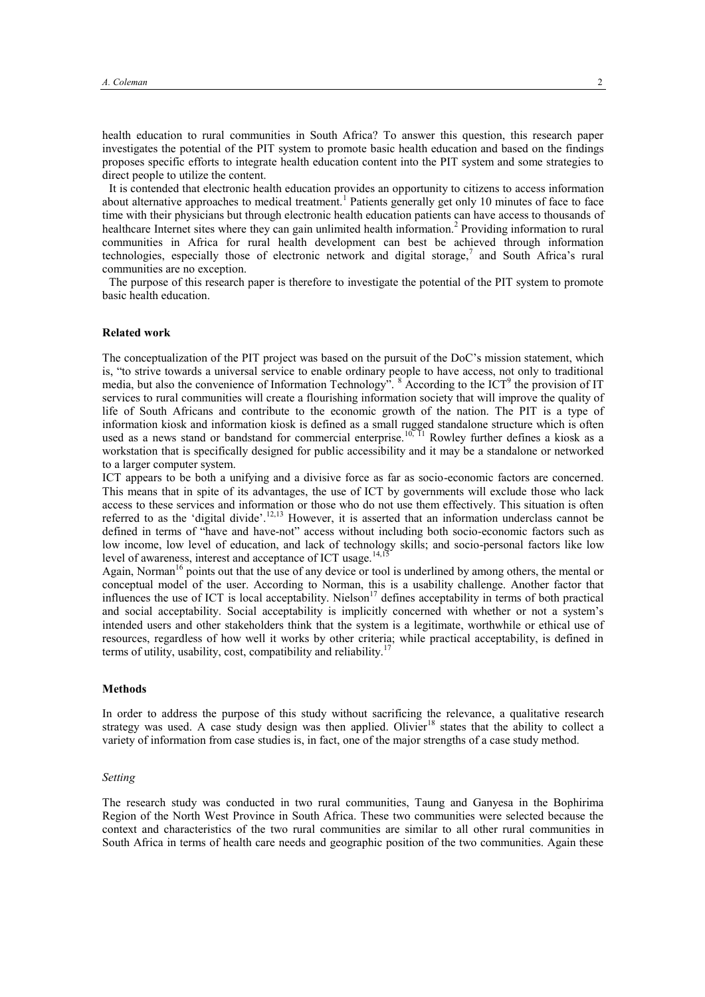health education to rural communities in South Africa? To answer this question, this research paper investigates the potential of the PIT system to promote basic health education and based on the findings proposes specific efforts to integrate health education content into the PIT system and some strategies to direct people to utilize the content.

It is contended that electronic health education provides an opportunity to citizens to access information about alternative approaches to medical treatment.<sup>1</sup> Patients generally get only 10 minutes of face to face time with their physicians but through electronic health education patients can have access to thousands of healthcare Internet sites where they can gain unlimited health information.<sup>2</sup> Providing information to rural communities in Africa for rural health development can best be achieved through information technologies, especially those of electronic network and digital storage,<sup>7</sup> and South Africa's rural communities are no exception.

The purpose of this research paper is therefore to investigate the potential of the PIT system to promote basic health education.

## **Related work**

The conceptualization of the PIT project was based on the pursuit of the DoC's mission statement, which is, "to strive towards a universal service to enable ordinary people to have access, not only to traditional media, but also the convenience of Information Technology". <sup>8</sup> According to the ICT<sup>9</sup> the provision of IT services to rural communities will create a flourishing information society that will improve the quality of life of South Africans and contribute to the economic growth of the nation. The PIT is a type of information kiosk and information kiosk is defined as a small rugged standalone structure which is often used as a news stand or bandstand for commercial enterprise.<sup>10, 11</sup> Rowley further defines a kiosk as a workstation that is specifically designed for public accessibility and it may be a standalone or networked to a larger computer system.

ICT appears to be both a unifying and a divisive force as far as socio-economic factors are concerned. This means that in spite of its advantages, the use of ICT by governments will exclude those who lack access to these services and information or those who do not use them effectively. This situation is often referred to as the 'digital divide'.12,13 However, it is asserted that an information underclass cannot be defined in terms of "have and have-not" access without including both socio-economic factors such as low income, low level of education, and lack of technology skills; and socio-personal factors like low level of awareness, interest and acceptance of ICT usage.<sup>14,15</sup>

Again, Norman<sup>16</sup> points out that the use of any device or tool is underlined by among others, the mental or conceptual model of the user. According to Norman, this is a usability challenge. Another factor that influences the use of ICT is local acceptability. Nielson<sup>17</sup> defines acceptability in terms of both practical and social acceptability. Social acceptability is implicitly concerned with whether or not a system's intended users and other stakeholders think that the system is a legitimate, worthwhile or ethical use of resources, regardless of how well it works by other criteria; while practical acceptability, is defined in terms of utility, usability, cost, compatibility and reliability.<sup>1</sup>

## **Methods**

In order to address the purpose of this study without sacrificing the relevance, a qualitative research strategy was used. A case study design was then applied. Olivier<sup>18</sup> states that the ability to collect a variety of information from case studies is, in fact, one of the major strengths of a case study method.

#### *Setting*

The research study was conducted in two rural communities, Taung and Ganyesa in the Bophirima Region of the North West Province in South Africa. These two communities were selected because the context and characteristics of the two rural communities are similar to all other rural communities in South Africa in terms of health care needs and geographic position of the two communities. Again these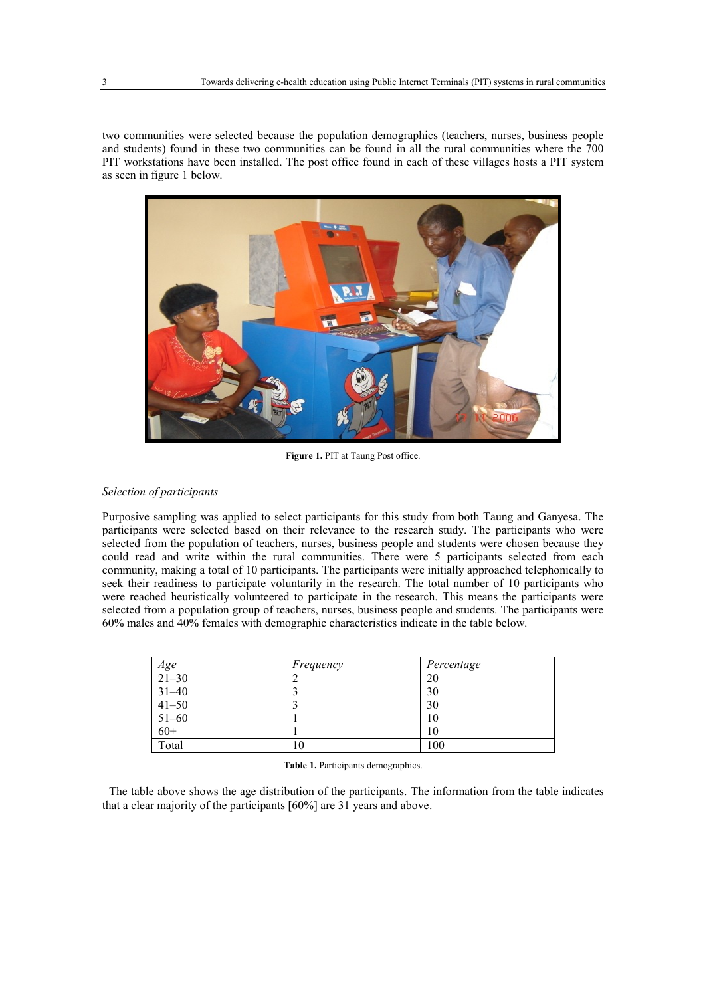two communities were selected because the population demographics (teachers, nurses, business people and students) found in these two communities can be found in all the rural communities where the 700 PIT workstations have been installed. The post office found in each of these villages hosts a PIT system as seen in figure 1 below.



**Figure 1.** PIT at Taung Post office.

## *Selection of participants*

Purposive sampling was applied to select participants for this study from both Taung and Ganyesa. The participants were selected based on their relevance to the research study. The participants who were selected from the population of teachers, nurses, business people and students were chosen because they could read and write within the rural communities. There were 5 participants selected from each community, making a total of 10 participants. The participants were initially approached telephonically to seek their readiness to participate voluntarily in the research. The total number of 10 participants who were reached heuristically volunteered to participate in the research. This means the participants were selected from a population group of teachers, nurses, business people and students. The participants were 60% males and 40% females with demographic characteristics indicate in the table below.

| Age       | Frequency | Percentage |
|-----------|-----------|------------|
| $21 - 30$ |           | 20         |
| $31 - 40$ |           | 30         |
| $41 - 50$ |           | 30         |
| $51 - 60$ |           | 10         |
| $60+$     |           | 10         |
| Total     | 10        | 100        |

**Table 1.** Participants demographics.

The table above shows the age distribution of the participants. The information from the table indicates that a clear majority of the participants [60%] are 31 years and above.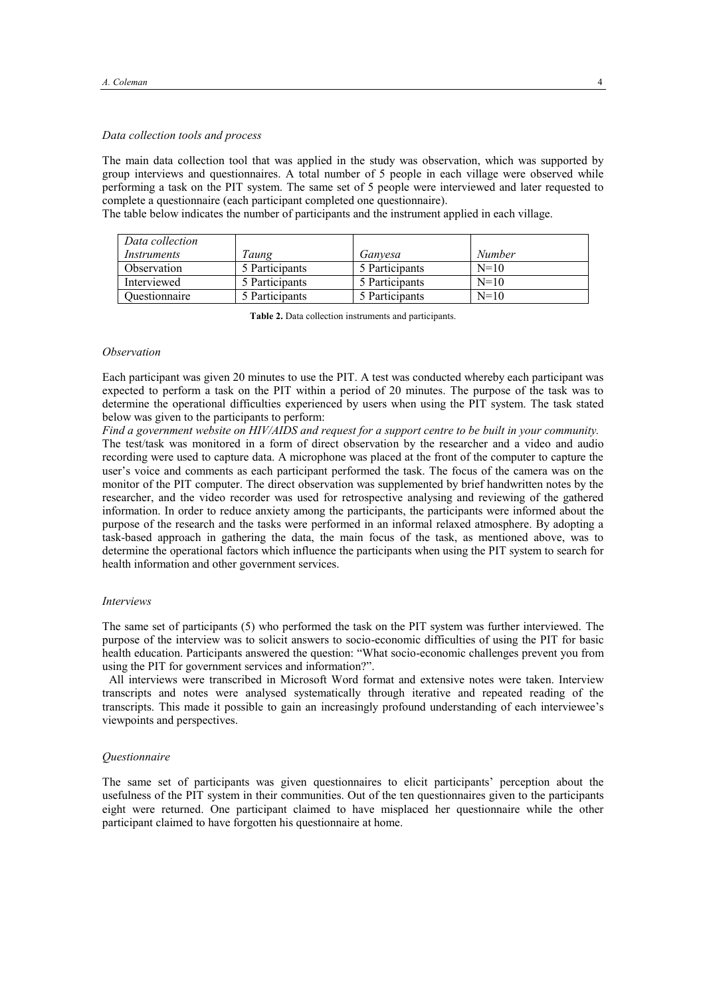## *Data collection tools and process*

The main data collection tool that was applied in the study was observation, which was supported by group interviews and questionnaires. A total number of 5 people in each village were observed while performing a task on the PIT system. The same set of 5 people were interviewed and later requested to complete a questionnaire (each participant completed one questionnaire).

The table below indicates the number of participants and the instrument applied in each village.

| Data collection |                |                |               |
|-----------------|----------------|----------------|---------------|
| Instruments     | Taung          | Ganvesa        | <b>Number</b> |
| Observation     | 5 Participants | 5 Participants | $N=10$        |
| Interviewed     | 5 Participants | 5 Participants | $N=10$        |
| Ouestionnaire   | 5 Participants | 5 Participants | $N=10$        |

**Table 2.** Data collection instruments and participants.

## *Observation*

Each participant was given 20 minutes to use the PIT. A test was conducted whereby each participant was expected to perform a task on the PIT within a period of 20 minutes. The purpose of the task was to determine the operational difficulties experienced by users when using the PIT system. The task stated below was given to the participants to perform:

*Find a government website on HIV/AIDS and request for a support centre to be built in your community.* The test/task was monitored in a form of direct observation by the researcher and a video and audio recording were used to capture data. A microphone was placed at the front of the computer to capture the user's voice and comments as each participant performed the task. The focus of the camera was on the monitor of the PIT computer. The direct observation was supplemented by brief handwritten notes by the researcher, and the video recorder was used for retrospective analysing and reviewing of the gathered information. In order to reduce anxiety among the participants, the participants were informed about the purpose of the research and the tasks were performed in an informal relaxed atmosphere. By adopting a task-based approach in gathering the data, the main focus of the task, as mentioned above, was to determine the operational factors which influence the participants when using the PIT system to search for health information and other government services.

## *Interviews*

The same set of participants (5) who performed the task on the PIT system was further interviewed. The purpose of the interview was to solicit answers to socio-economic difficulties of using the PIT for basic health education. Participants answered the question: "What socio-economic challenges prevent you from using the PIT for government services and information?".

All interviews were transcribed in Microsoft Word format and extensive notes were taken. Interview transcripts and notes were analysed systematically through iterative and repeated reading of the transcripts. This made it possible to gain an increasingly profound understanding of each interviewee's viewpoints and perspectives.

#### *Questionnaire*

The same set of participants was given questionnaires to elicit participants' perception about the usefulness of the PIT system in their communities. Out of the ten questionnaires given to the participants eight were returned. One participant claimed to have misplaced her questionnaire while the other participant claimed to have forgotten his questionnaire at home.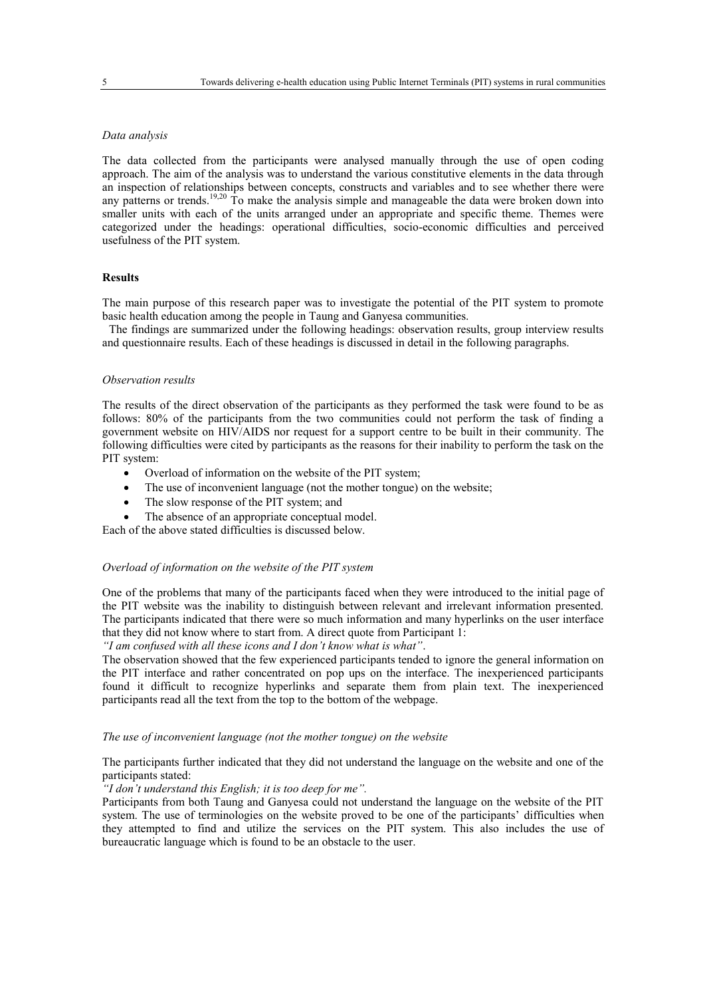## *Data analysis*

The data collected from the participants were analysed manually through the use of open coding approach. The aim of the analysis was to understand the various constitutive elements in the data through an inspection of relationships between concepts, constructs and variables and to see whether there were any patterns or trends.<sup>19,20</sup> To make the analysis simple and manageable the data were broken down into smaller units with each of the units arranged under an appropriate and specific theme. Themes were categorized under the headings: operational difficulties, socio-economic difficulties and perceived usefulness of the PIT system.

## **Results**

The main purpose of this research paper was to investigate the potential of the PIT system to promote basic health education among the people in Taung and Ganyesa communities.

The findings are summarized under the following headings: observation results, group interview results and questionnaire results. Each of these headings is discussed in detail in the following paragraphs.

## *Observation results*

The results of the direct observation of the participants as they performed the task were found to be as follows: 80% of the participants from the two communities could not perform the task of finding a government website on HIV/AIDS nor request for a support centre to be built in their community. The following difficulties were cited by participants as the reasons for their inability to perform the task on the PIT system:

- Overload of information on the website of the PIT system;
- The use of inconvenient language (not the mother tongue) on the website;
- The slow response of the PIT system; and

The absence of an appropriate conceptual model.

Each of the above stated difficulties is discussed below.

## *Overload of information on the website of the PIT system*

One of the problems that many of the participants faced when they were introduced to the initial page of the PIT website was the inability to distinguish between relevant and irrelevant information presented. The participants indicated that there were so much information and many hyperlinks on the user interface that they did not know where to start from. A direct quote from Participant 1:

*"I am confused with all these icons and I don't know what is what"*.

The observation showed that the few experienced participants tended to ignore the general information on the PIT interface and rather concentrated on pop ups on the interface. The inexperienced participants found it difficult to recognize hyperlinks and separate them from plain text. The inexperienced participants read all the text from the top to the bottom of the webpage.

## *The use of inconvenient language (not the mother tongue) on the website*

The participants further indicated that they did not understand the language on the website and one of the participants stated:

## *"I don't understand this English; it is too deep for me".*

Participants from both Taung and Ganyesa could not understand the language on the website of the PIT system. The use of terminologies on the website proved to be one of the participants' difficulties when they attempted to find and utilize the services on the PIT system. This also includes the use of bureaucratic language which is found to be an obstacle to the user.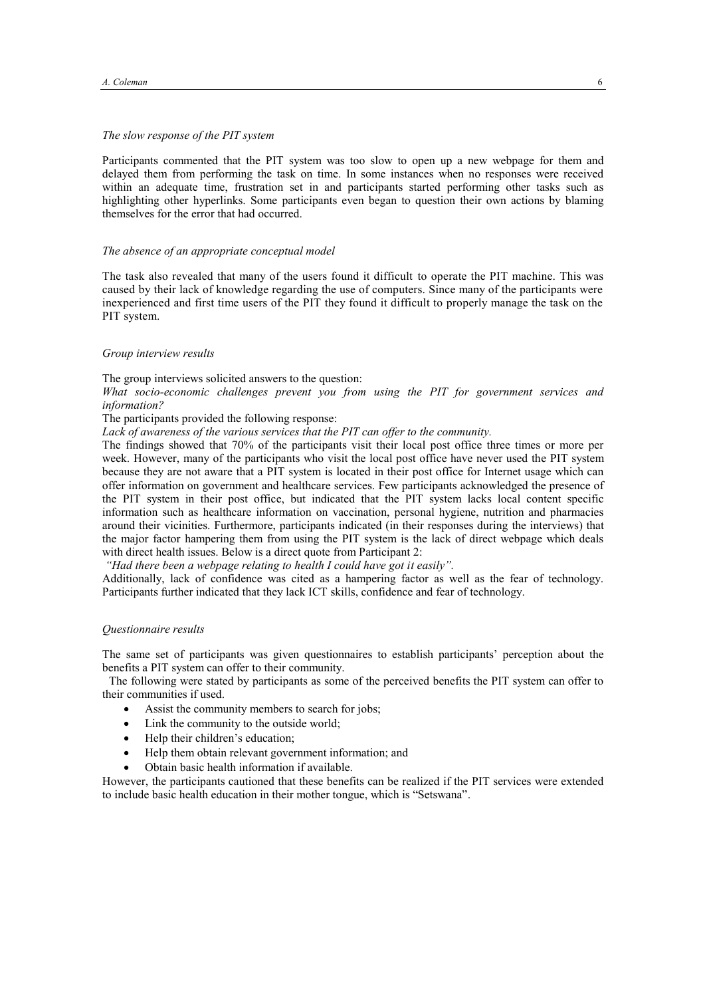## *The slow response of the PIT system*

Participants commented that the PIT system was too slow to open up a new webpage for them and delayed them from performing the task on time. In some instances when no responses were received within an adequate time, frustration set in and participants started performing other tasks such as highlighting other hyperlinks. Some participants even began to question their own actions by blaming themselves for the error that had occurred.

## *The absence of an appropriate conceptual model*

The task also revealed that many of the users found it difficult to operate the PIT machine. This was caused by their lack of knowledge regarding the use of computers. Since many of the participants were inexperienced and first time users of the PIT they found it difficult to properly manage the task on the PIT system.

## *Group interview results*

The group interviews solicited answers to the question:

*What socio-economic challenges prevent you from using the PIT for government services and information?* 

The participants provided the following response:

*Lack of awareness of the various services that the PIT can offer to the community.*

The findings showed that 70% of the participants visit their local post office three times or more per week. However, many of the participants who visit the local post office have never used the PIT system because they are not aware that a PIT system is located in their post office for Internet usage which can offer information on government and healthcare services. Few participants acknowledged the presence of the PIT system in their post office, but indicated that the PIT system lacks local content specific information such as healthcare information on vaccination, personal hygiene, nutrition and pharmacies around their vicinities. Furthermore, participants indicated (in their responses during the interviews) that the major factor hampering them from using the PIT system is the lack of direct webpage which deals with direct health issues. Below is a direct quote from Participant 2:

*"Had there been a webpage relating to health I could have got it easily".*

Additionally, lack of confidence was cited as a hampering factor as well as the fear of technology. Participants further indicated that they lack ICT skills, confidence and fear of technology.

## *Questionnaire results*

The same set of participants was given questionnaires to establish participants' perception about the benefits a PIT system can offer to their community.

The following were stated by participants as some of the perceived benefits the PIT system can offer to their communities if used.

- Assist the community members to search for jobs;
- Link the community to the outside world;
- Help their children's education;
- Help them obtain relevant government information; and
- Obtain basic health information if available.

However, the participants cautioned that these benefits can be realized if the PIT services were extended to include basic health education in their mother tongue, which is "Setswana".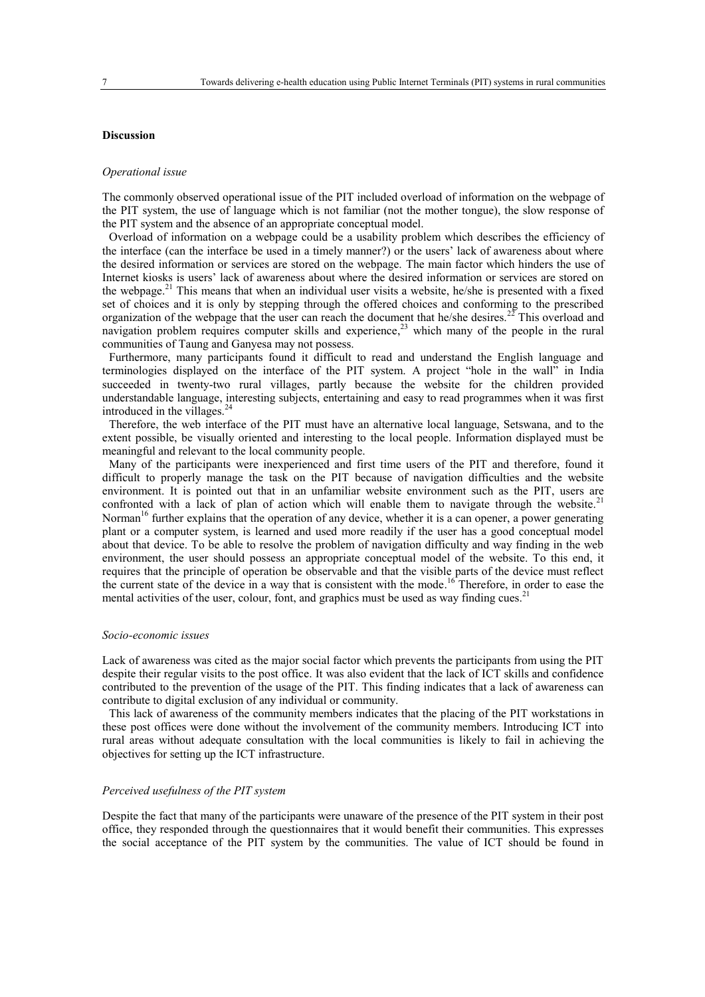## **Discussion**

#### *Operational issue*

The commonly observed operational issue of the PIT included overload of information on the webpage of the PIT system, the use of language which is not familiar (not the mother tongue), the slow response of the PIT system and the absence of an appropriate conceptual model.

Overload of information on a webpage could be a usability problem which describes the efficiency of the interface (can the interface be used in a timely manner?) or the users' lack of awareness about where the desired information or services are stored on the webpage. The main factor which hinders the use of Internet kiosks is users' lack of awareness about where the desired information or services are stored on the webpage.<sup>21</sup> This means that when an individual user visits a website, he/she is presented with a fixed set of choices and it is only by stepping through the offered choices and conforming to the prescribed organization of the webpage that the user can reach the document that he/she desires.<sup>27</sup> This overload and navigation problem requires computer skills and experience,<sup>23</sup> which many of the people in the rural communities of Taung and Ganyesa may not possess.

Furthermore, many participants found it difficult to read and understand the English language and terminologies displayed on the interface of the PIT system. A project "hole in the wall" in India succeeded in twenty-two rural villages, partly because the website for the children provided understandable language, interesting subjects, entertaining and easy to read programmes when it was first introduced in the villages.<sup>24</sup>

Therefore, the web interface of the PIT must have an alternative local language, Setswana, and to the extent possible, be visually oriented and interesting to the local people. Information displayed must be meaningful and relevant to the local community people.

Many of the participants were inexperienced and first time users of the PIT and therefore, found it difficult to properly manage the task on the PIT because of navigation difficulties and the website environment. It is pointed out that in an unfamiliar website environment such as the PIT, users are confronted with a lack of plan of action which will enable them to navigate through the website.<sup>21</sup> Norman<sup>16</sup> further explains that the operation of any device, whether it is a can opener, a power generating plant or a computer system, is learned and used more readily if the user has a good conceptual model about that device. To be able to resolve the problem of navigation difficulty and way finding in the web environment, the user should possess an appropriate conceptual model of the website. To this end, it requires that the principle of operation be observable and that the visible parts of the device must reflect the current state of the device in a way that is consistent with the mode.<sup>16</sup> Therefore, in order to ease the mental activities of the user, colour, font, and graphics must be used as way finding cues.<sup>2</sup>

## *Socio-economic issues*

Lack of awareness was cited as the major social factor which prevents the participants from using the PIT despite their regular visits to the post office. It was also evident that the lack of ICT skills and confidence contributed to the prevention of the usage of the PIT. This finding indicates that a lack of awareness can contribute to digital exclusion of any individual or community.

This lack of awareness of the community members indicates that the placing of the PIT workstations in these post offices were done without the involvement of the community members. Introducing ICT into rural areas without adequate consultation with the local communities is likely to fail in achieving the objectives for setting up the ICT infrastructure.

## *Perceived usefulness of the PIT system*

Despite the fact that many of the participants were unaware of the presence of the PIT system in their post office, they responded through the questionnaires that it would benefit their communities. This expresses the social acceptance of the PIT system by the communities. The value of ICT should be found in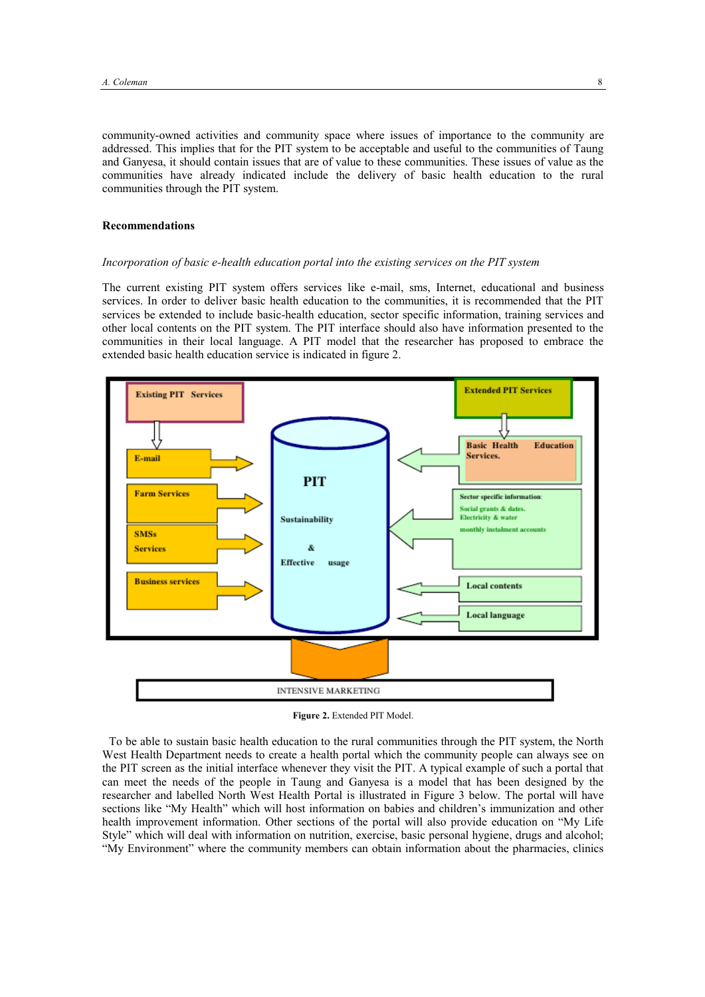community-owned activities and community space where issues of importance to the community are addressed. This implies that for the PIT system to be acceptable and useful to the communities of Taung and Ganyesa, it should contain issues that are of value to these communities. These issues of value as the communities have already indicated include the delivery of basic health education to the rural communities through the PIT system.

## **Recommendations**

## *Incorporation of basic e-health education portal into the existing services on the PIT system*

The current existing PIT system offers services like e-mail, sms, Internet, educational and business services. In order to deliver basic health education to the communities, it is recommended that the PIT services be extended to include basic-health education, sector specific information, training services and other local contents on the PIT system. The PIT interface should also have information presented to the communities in their local language. A PIT model that the researcher has proposed to embrace the extended basic health education service is indicated in figure 2.



**Figure 2.** Extended PIT Model.

To be able to sustain basic health education to the rural communities through the PIT system, the North West Health Department needs to create a health portal which the community people can always see on the PIT screen as the initial interface whenever they visit the PIT. A typical example of such a portal that can meet the needs of the people in Taung and Ganyesa is a model that has been designed by the researcher and labelled North West Health Portal is illustrated in Figure 3 below. The portal will have sections like "My Health" which will host information on babies and children's immunization and other health improvement information. Other sections of the portal will also provide education on "My Life Style" which will deal with information on nutrition, exercise, basic personal hygiene, drugs and alcohol; "My Environment" where the community members can obtain information about the pharmacies, clinics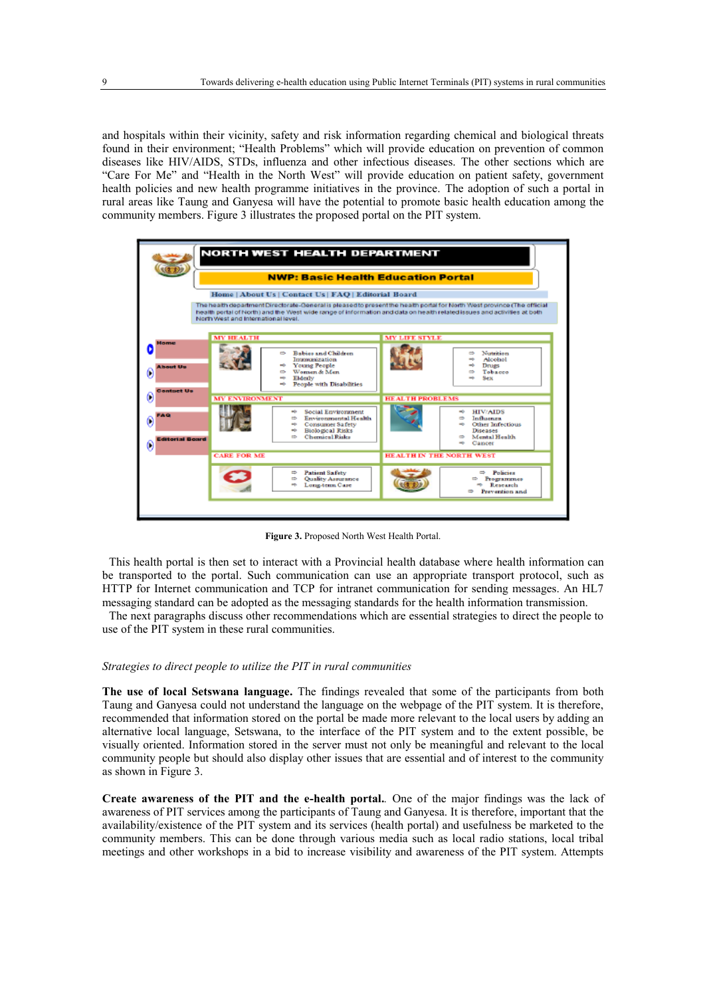and hospitals within their vicinity, safety and risk information regarding chemical and biological threats found in their environment; "Health Problems" which will provide education on prevention of common diseases like HIV/AIDS, STDs, influenza and other infectious diseases. The other sections which are "Care For Me" and "Health in the North West" will provide education on patient safety, government health policies and new health programme initiatives in the province. The adoption of such a portal in rural areas like Taung and Ganyesa will have the potential to promote basic health education among the community members. Figure 3 illustrates the proposed portal on the PIT system.



**Figure 3.** Proposed North West Health Portal.

This health portal is then set to interact with a Provincial health database where health information can be transported to the portal. Such communication can use an appropriate transport protocol, such as HTTP for Internet communication and TCP for intranet communication for sending messages. An HL7 messaging standard can be adopted as the messaging standards for the health information transmission.

The next paragraphs discuss other recommendations which are essential strategies to direct the people to use of the PIT system in these rural communities.

## *Strategies to direct people to utilize the PIT in rural communities*

**The use of local Setswana language.** The findings revealed that some of the participants from both Taung and Ganyesa could not understand the language on the webpage of the PIT system. It is therefore, recommended that information stored on the portal be made more relevant to the local users by adding an alternative local language, Setswana, to the interface of the PIT system and to the extent possible, be visually oriented. Information stored in the server must not only be meaningful and relevant to the local community people but should also display other issues that are essential and of interest to the community as shown in Figure 3.

**Create awareness of the PIT and the e-health portal.***.* One of the major findings was the lack of awareness of PIT services among the participants of Taung and Ganyesa. It is therefore, important that the availability/existence of the PIT system and its services (health portal) and usefulness be marketed to the community members. This can be done through various media such as local radio stations, local tribal meetings and other workshops in a bid to increase visibility and awareness of the PIT system. Attempts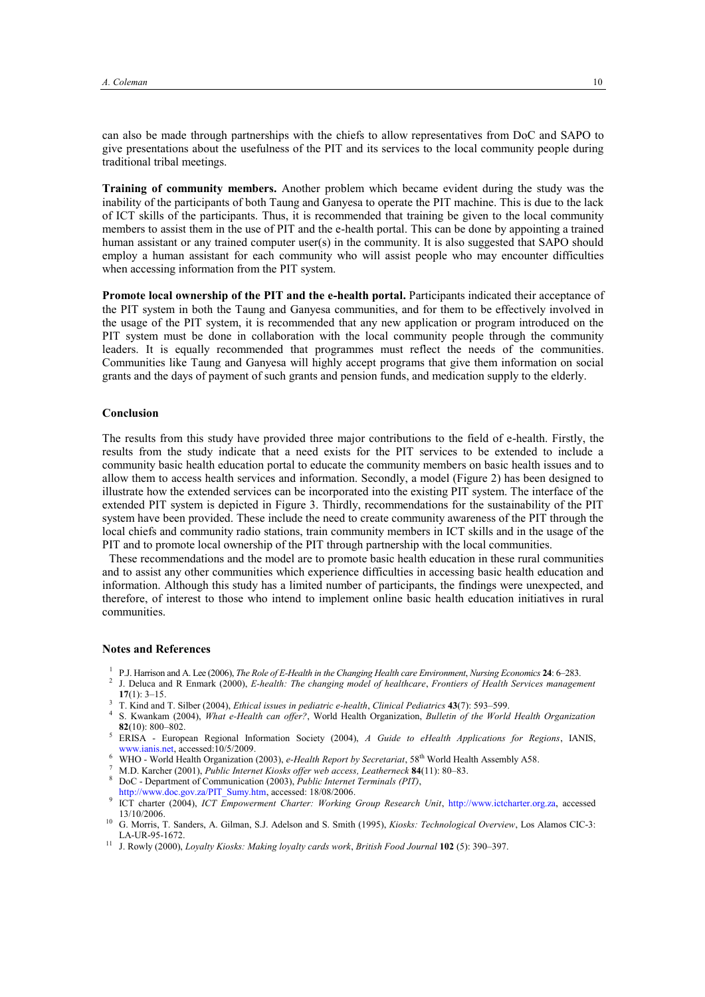can also be made through partnerships with the chiefs to allow representatives from DoC and SAPO to give presentations about the usefulness of the PIT and its services to the local community people during traditional tribal meetings.

**Training of community members.** Another problem which became evident during the study was the inability of the participants of both Taung and Ganyesa to operate the PIT machine. This is due to the lack of ICT skills of the participants. Thus, it is recommended that training be given to the local community members to assist them in the use of PIT and the e-health portal. This can be done by appointing a trained human assistant or any trained computer user(s) in the community. It is also suggested that SAPO should employ a human assistant for each community who will assist people who may encounter difficulties when accessing information from the PIT system.

**Promote local ownership of the PIT and the e-health portal.** Participants indicated their acceptance of the PIT system in both the Taung and Ganyesa communities, and for them to be effectively involved in the usage of the PIT system, it is recommended that any new application or program introduced on the PIT system must be done in collaboration with the local community people through the community leaders. It is equally recommended that programmes must reflect the needs of the communities. Communities like Taung and Ganyesa will highly accept programs that give them information on social grants and the days of payment of such grants and pension funds, and medication supply to the elderly.

## **Conclusion**

The results from this study have provided three major contributions to the field of e-health. Firstly, the results from the study indicate that a need exists for the PIT services to be extended to include a community basic health education portal to educate the community members on basic health issues and to allow them to access health services and information. Secondly, a model (Figure 2) has been designed to illustrate how the extended services can be incorporated into the existing PIT system. The interface of the extended PIT system is depicted in Figure 3. Thirdly, recommendations for the sustainability of the PIT system have been provided. These include the need to create community awareness of the PIT through the local chiefs and community radio stations, train community members in ICT skills and in the usage of the PIT and to promote local ownership of the PIT through partnership with the local communities.

These recommendations and the model are to promote basic health education in these rural communities and to assist any other communities which experience difficulties in accessing basic health education and information. Although this study has a limited number of participants, the findings were unexpected, and therefore, of interest to those who intend to implement online basic health education initiatives in rural communities.

## **Notes and References**

- 1 P.J. Harrison and A. Lee (2006), *The Role of E-Health in the Changing Health care Environment*, *Nursing Economics* **24**: 6–283.
- 2 J. Deluca and R Enmark (2000), *E-health: The changing model of healthcare*, *Frontiers of Health Services management* **17**(1): 3–15.
- <sup>3</sup> T. Kind and T. Silber (2004), *Ethical issues in pediatric e-health*, *Clinical Pediatrics* **43**(7): 593–599.
- 4 S. Kwankam (2004), *What e-Health can offer?*, World Health Organization, *Bulletin of the World Health Organization* **82**(10): 800–802.
- <sup>5</sup> ERISA European Regional Information Society (2004), *A Guide to eHealth Applications for Regions*, IANIS, www.janis.net.accessed:10/5/2009.
- <sup>6</sup> WHO World Health Organization (2003), *e-Health Report by Secretariat*, 58th World Health Assembly A58.
- <sup>7</sup> M.D. Karcher (2001), *Public Internet Kiosks offer web access, Leatherneck* **84**(11): 80–83.
- <sup>8</sup> DoC Department of Communication (2003), *Public Internet Terminals (PIT)*,
- [http://www.doc.gov.za/PIT\\_Sumy.htm,](http://www.doc.gov.za/PIT_Sumy.htm) accessed: 18/08/2006.
- 9 ICT charter (2004), *ICT Empowerment Charter: Working Group Research Unit*, [http://www.ictcharter.org.za,](http://www.ictcharter.org.za/) accessed 13/10/2006.
- <sup>10</sup> G. Morris, T. Sanders, A. Gilman, S.J. Adelson and S. Smith (1995), *Kiosks: Technological Overview*, Los Alamos CIC-3: LA-UR-95-1672.
- <sup>11</sup> J. Rowly (2000), *Loyalty Kiosks: Making loyalty cards work*, *British Food Journal* **102** (5): 390–397.